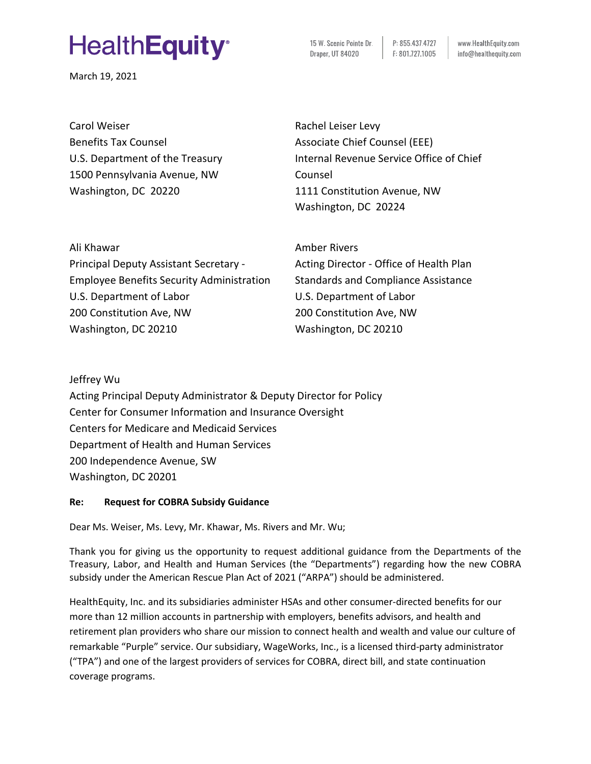# **HealthEquity**<sup>®</sup>

March 19, 2021

15 W. Scenic Pointe Dr. P: 855,437,4727 Draper, UT 84020 F: 801.727.1005

www.HealthEquity.com info@healthequity.com

Carol Weiser Benefits Tax Counsel U.S. Department of the Treasury 1500 Pennsylvania Avenue, NW Washington, DC 20220

Rachel Leiser Levy Associate Chief Counsel (EEE) Internal Revenue Service Office of Chief Counsel 1111 Constitution Avenue, NW Washington, DC 20224

Ali Khawar Principal Deputy Assistant Secretary - Employee Benefits Security Administration U.S. Department of Labor 200 Constitution Ave, NW Washington, DC 20210

Amber Rivers Acting Director - Office of Health Plan Standards and Compliance Assistance U.S. Department of Labor 200 Constitution Ave, NW Washington, DC 20210

Jeffrey Wu Acting Principal Deputy Administrator & Deputy Director for Policy Center for Consumer Information and Insurance Oversight Centers for Medicare and Medicaid Services Department of Health and Human Services 200 Independence Avenue, SW Washington, DC 20201

## **Re: Request for COBRA Subsidy Guidance**

Dear Ms. Weiser, Ms. Levy, Mr. Khawar, Ms. Rivers and Mr. Wu;

Thank you for giving us the opportunity to request additional guidance from the Departments of the Treasury, Labor, and Health and Human Services (the "Departments") regarding how the new COBRA subsidy under the American Rescue Plan Act of 2021 ("ARPA") should be administered.

HealthEquity, Inc. and its subsidiaries administer HSAs and other consumer-directed benefits for our more than 12 million accounts in partnership with employers, benefits advisors, and health and retirement plan providers who share our mission to connect health and wealth and value our culture of remarkable "Purple" service. Our subsidiary, WageWorks, Inc., is a licensed third-party administrator ("TPA") and one of the largest providers of services for COBRA, direct bill, and state continuation coverage programs.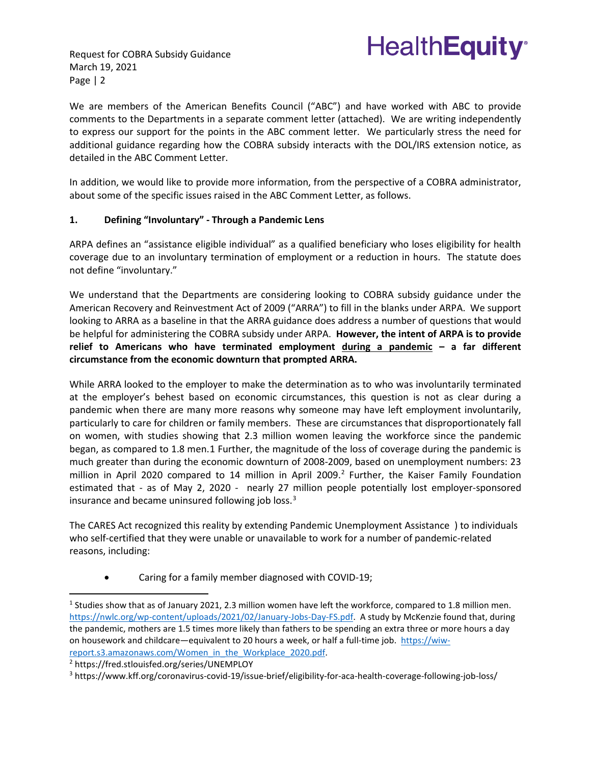Request for COBRA Subsidy Guidance March 19, 2021 Page | 2



We are members of the American Benefits Council ("ABC") and have worked with ABC to provide comments to the Departments in a separate comment letter (attached). We are writing independently to express our support for the points in the ABC comment letter. We particularly stress the need for additional guidance regarding how the COBRA subsidy interacts with the DOL/IRS extension notice, as detailed in the ABC Comment Letter.

In addition, we would like to provide more information, from the perspective of a COBRA administrator, about some of the specific issues raised in the ABC Comment Letter, as follows.

## **1. Defining "Involuntary" - Through a Pandemic Lens**

ARPA defines an "assistance eligible individual" as a qualified beneficiary who loses eligibility for health coverage due to an involuntary termination of employment or a reduction in hours. The statute does not define "involuntary."

We understand that the Departments are considering looking to COBRA subsidy guidance under the American Recovery and Reinvestment Act of 2009 ("ARRA") to fill in the blanks under ARPA. We support looking to ARRA as a baseline in that the ARRA guidance does address a number of questions that would be helpful for administering the COBRA subsidy under ARPA. **However, the intent of ARPA is to provide relief to Americans who have terminated employment during a pandemic – a far different circumstance from the economic downturn that prompted ARRA.**

While ARRA looked to the employer to make the determination as to who was involuntarily terminated at the employer's behest based on economic circumstances, this question is not as clear during a pandemic when there are many more reasons why someone may have left employment involuntarily, particularly to care for children or family members. These are circumstances that disproportionately fall on women, with studies showing that 2.3 million women leaving the workforce since the pandemic began, as compared to 1.8 men.[1](#page-1-0) Further, the magnitude of the loss of coverage during the pandemic is much greater than during the economic downturn of 2008-2009, based on unemployment numbers: 23 million in April [2](#page-1-1)020 compared to 14 million in April 2009. $^2$  Further, the Kaiser Family Foundation estimated that - as of May 2, 2020 - nearly 27 million people potentially lost employer-sponsored insurance and became uninsured following job loss. $3$ 

The CARES Act recognized this reality by extending Pandemic Unemployment Assistance ) to individuals who self-certified that they were unable or unavailable to work for a number of pandemic-related reasons, including:

• Caring for a family member diagnosed with COVID-19;

<span id="page-1-1"></span>[report.s3.amazonaws.com/Women\\_in\\_the\\_Workplace\\_2020.pdf.](https://wiw-report.s3.amazonaws.com/Women_in_the_Workplace_2020.pdf)<br><sup>2</sup> https://fred.stlouisfed.org/series/UNEMPLOY

<span id="page-1-0"></span><sup>1</sup> Studies show that as of January 2021, 2.3 million women have left the workforce, compared to 1.8 million men. [https://nwlc.org/wp-content/uploads/2021/02/January-Jobs-Day-FS.pdf.](https://nwlc.org/wp-content/uploads/2021/02/January-Jobs-Day-FS.pdf) A study by McKenzie found that, during the pandemic, mothers are 1.5 times more likely than fathers to be spending an extra three or more hours a day on housework and childcare—equivalent to 20 hours a week, or half a full-time job. [https://wiw-](https://wiw-report.s3.amazonaws.com/Women_in_the_Workplace_2020.pdf)

<span id="page-1-2"></span><sup>3</sup> https://www.kff.org/coronavirus-covid-19/issue-brief/eligibility-for-aca-health-coverage-following-job-loss/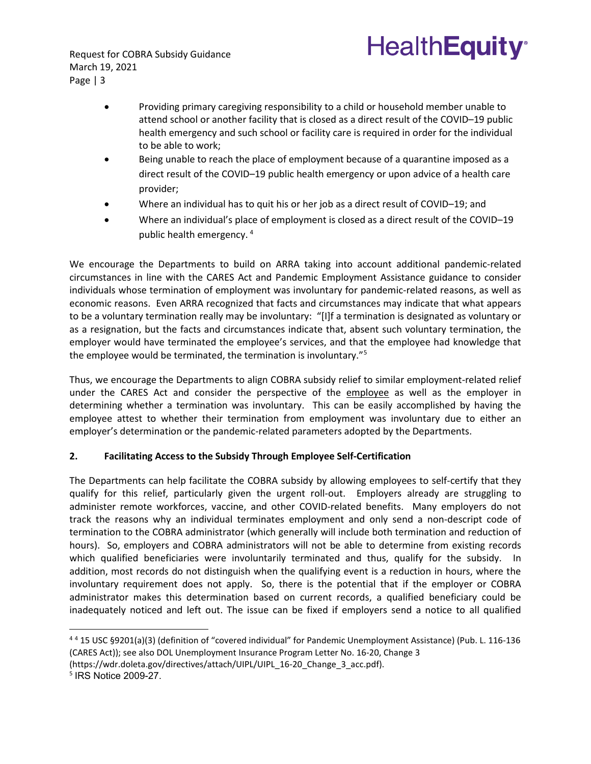Request for COBRA Subsidy Guidance March 19, 2021 Page | 3

> • Providing primary caregiving responsibility to a child or household member unable to attend school or another facility that is closed as a direct result of the [COVID–19 public](https://www.law.cornell.edu/definitions/uscode.php?width=840&height=800&iframe=true&def_id=15-USC-579975462-1335317833&term_occur=999&term_src=title:15:chapter:116:subchapter:II:section:9021)  [health emergency](https://www.law.cornell.edu/definitions/uscode.php?width=840&height=800&iframe=true&def_id=15-USC-579975462-1335317833&term_occur=999&term_src=title:15:chapter:116:subchapter:II:section:9021) and such school or facility care is required in order for the individual to be able to work;

**HealthEquity®** 

- Being unable to reach the place of employment because of a quarantine imposed as a direct result of the [COVID–19 public health emergency](https://www.law.cornell.edu/definitions/uscode.php?width=840&height=800&iframe=true&def_id=15-USC-579975462-1335317833&term_occur=999&term_src=title:15:chapter:116:subchapter:II:section:9021) or upon advice of a health care provider;
- Where an individual has to quit his or her job as a direct result of [COVID–19;](https://www.law.cornell.edu/definitions/uscode.php?width=840&height=800&iframe=true&def_id=15-USC-441964374-1335317832&term_occur=999&term_src=title:15:chapter:116:subchapter:II:section:9021) and
- Where an individual's place of employment is closed as a direct result of the [COVID–19](https://www.law.cornell.edu/definitions/uscode.php?width=840&height=800&iframe=true&def_id=15-USC-579975462-1335317833&term_occur=999&term_src=title:15:chapter:116:subchapter:II:section:9021)  [public health emergency.](https://www.law.cornell.edu/definitions/uscode.php?width=840&height=800&iframe=true&def_id=15-USC-579975462-1335317833&term_occur=999&term_src=title:15:chapter:116:subchapter:II:section:9021) [4](#page-2-0)

We encourage the Departments to build on ARRA taking into account additional pandemic-related circumstances in line with the CARES Act and Pandemic Employment Assistance guidance to consider individuals whose termination of employment was involuntary for pandemic-related reasons, as well as economic reasons. Even ARRA recognized that facts and circumstances may indicate that what appears to be a voluntary termination really may be involuntary: "[I]f a termination is designated as voluntary or as a resignation, but the facts and circumstances indicate that, absent such voluntary termination, the employer would have terminated the employee's services, and that the employee had knowledge that the employee would be terminated, the termination is involuntary."<sup>[5](#page-2-1)</sup>

Thus, we encourage the Departments to align COBRA subsidy relief to similar employment-related relief under the CARES Act and consider the perspective of the employee as well as the employer in determining whether a termination was involuntary. This can be easily accomplished by having the employee attest to whether their termination from employment was involuntary due to either an employer's determination or the pandemic-related parameters adopted by the Departments.

## **2. Facilitating Access to the Subsidy Through Employee Self-Certification**

The Departments can help facilitate the COBRA subsidy by allowing employees to self-certify that they qualify for this relief, particularly given the urgent roll-out. Employers already are struggling to administer remote workforces, vaccine, and other COVID-related benefits. Many employers do not track the reasons why an individual terminates employment and only send a non-descript code of termination to the COBRA administrator (which generally will include both termination and reduction of hours). So, employers and COBRA administrators will not be able to determine from existing records which qualified beneficiaries were involuntarily terminated and thus, qualify for the subsidy. In addition, most records do not distinguish when the qualifying event is a reduction in hours, where the involuntary requirement does not apply. So, there is the potential that if the employer or COBRA administrator makes this determination based on current records, a qualified beneficiary could be inadequately noticed and left out. The issue can be fixed if employers send a notice to all qualified

[\(https://wdr.doleta.gov/directives/attach/UIPL/UIPL\\_16-20\\_Change\\_3\\_acc.pdf\)](https://wdr.doleta.gov/directives/attach/UIPL/UIPL_16-20_Change_3_acc.pdf).

<span id="page-2-0"></span><sup>4</sup> <sup>4</sup> 15 USC §9201(a)(3) (definition of "covered individual" for Pandemic Unemployment Assistance) (Pub. L. 116-136 (CARES Act)); see also DOL Unemployment Insurance Program Letter No. 16-20, Change 3

<span id="page-2-1"></span><sup>5</sup> IRS Notice 2009-27.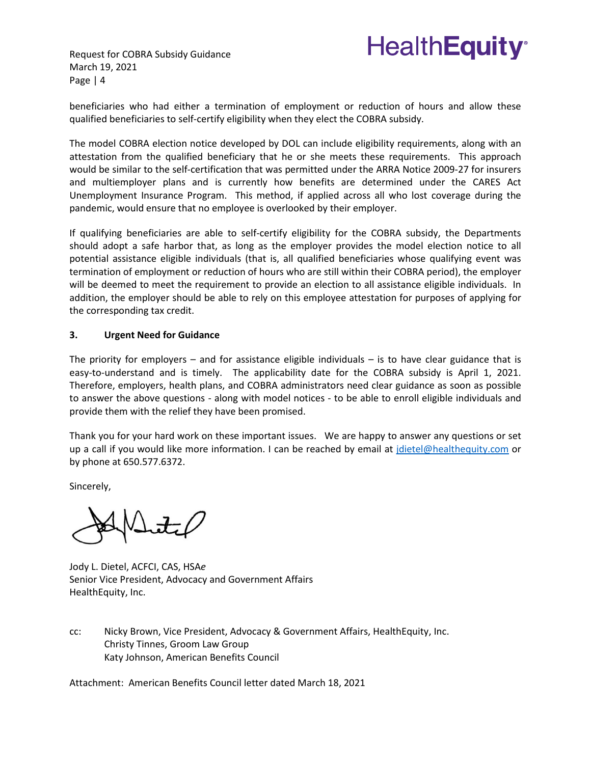

Request for COBRA Subsidy Guidance March 19, 2021 Page | 4

beneficiaries who had either a termination of employment or reduction of hours and allow these qualified beneficiaries to self-certify eligibility when they elect the COBRA subsidy.

The model COBRA election notice developed by DOL can include eligibility requirements, along with an attestation from the qualified beneficiary that he or she meets these requirements. This approach would be similar to the self-certification that was permitted under the ARRA Notice 2009-27 for insurers and multiemployer plans and is currently how benefits are determined under the CARES Act Unemployment Insurance Program. This method, if applied across all who lost coverage during the pandemic, would ensure that no employee is overlooked by their employer.

If qualifying beneficiaries are able to self-certify eligibility for the COBRA subsidy, the Departments should adopt a safe harbor that, as long as the employer provides the model election notice to all potential assistance eligible individuals (that is, all qualified beneficiaries whose qualifying event was termination of employment or reduction of hours who are still within their COBRA period), the employer will be deemed to meet the requirement to provide an election to all assistance eligible individuals. In addition, the employer should be able to rely on this employee attestation for purposes of applying for the corresponding tax credit.

## **3. Urgent Need for Guidance**

The priority for employers  $-$  and for assistance eligible individuals  $-$  is to have clear guidance that is easy-to-understand and is timely. The applicability date for the COBRA subsidy is April 1, 2021. Therefore, employers, health plans, and COBRA administrators need clear guidance as soon as possible to answer the above questions - along with model notices - to be able to enroll eligible individuals and provide them with the relief they have been promised.

Thank you for your hard work on these important issues. We are happy to answer any questions or set up a call if you would like more information. I can be reached by email at [jdietel@healthequity.com](mailto:jdietel@healthequity.com) or by phone at 650.577.6372.

Sincerely,

Jody L. Dietel, ACFCI, CAS, HSA*e* Senior Vice President, Advocacy and Government Affairs HealthEquity, Inc.

cc: Nicky Brown, Vice President, Advocacy & Government Affairs, HealthEquity, Inc. Christy Tinnes, Groom Law Group Katy Johnson, American Benefits Council

Attachment: American Benefits Council letter dated March 18, 2021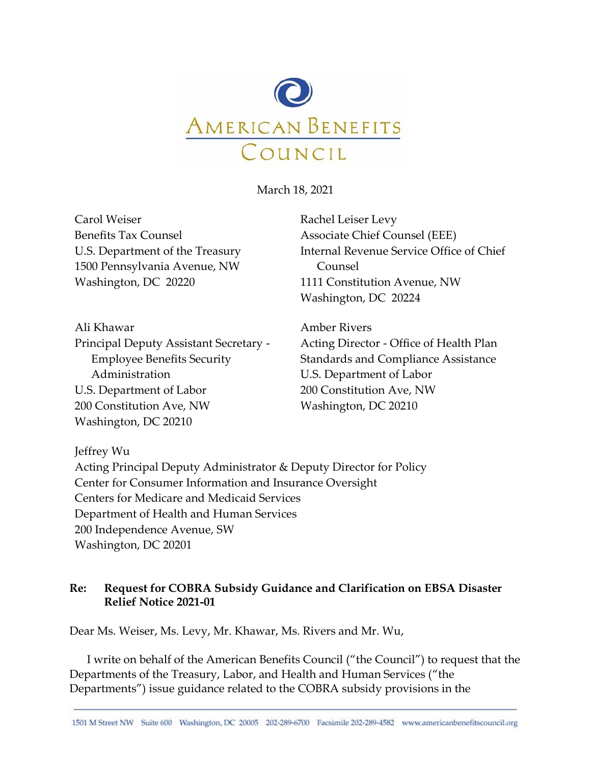

March 18, 2021

Carol Weiser Benefits Tax Counsel U.S. Department of the Treasury 1500 Pennsylvania Avenue, NW Washington, DC 20220

Rachel Leiser Levy Associate Chief Counsel (EEE) Internal Revenue Service Office of Chief Counsel 1111 Constitution Avenue, NW Washington, DC 20224

Ali Khawar Principal Deputy Assistant Secretary - Employee Benefits Security Administration U.S. Department of Labor 200 Constitution Ave, NW Washington, DC 20210

Amber Rivers Acting Director - Office of Health Plan Standards and Compliance Assistance U.S. Department of Labor 200 Constitution Ave, NW Washington, DC 20210

Jeffrey Wu

Acting Principal Deputy Administrator & Deputy Director for Policy Center for Consumer Information and Insurance Oversight Centers for Medicare and Medicaid Services Department of Health and Human Services 200 Independence Avenue, SW Washington, DC 20201

# **Re: Request for COBRA Subsidy Guidance and Clarification on EBSA Disaster Relief Notice 2021-01**

Dear Ms. Weiser, Ms. Levy, Mr. Khawar, Ms. Rivers and Mr. Wu,

I write on behalf of the American Benefits Council ("the Council") to request that the Departments of the Treasury, Labor, and Health and Human Services ("the Departments") issue guidance related to the COBRA subsidy provisions in the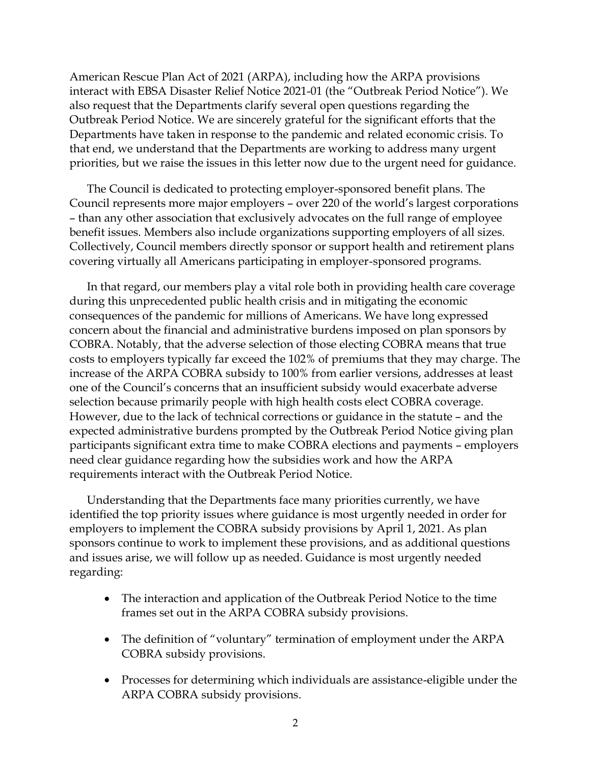American Rescue Plan Act of 2021 (ARPA), including how the ARPA provisions interact with EBSA Disaster Relief Notice 2021-01 (the "Outbreak Period Notice"). We also request that the Departments clarify several open questions regarding the Outbreak Period Notice. We are sincerely grateful for the significant efforts that the Departments have taken in response to the pandemic and related economic crisis. To that end, we understand that the Departments are working to address many urgent priorities, but we raise the issues in this letter now due to the urgent need for guidance.

The Council is dedicated to protecting employer-sponsored benefit plans. The Council represents more major employers – over 220 of the world's largest corporations – than any other association that exclusively advocates on the full range of employee benefit issues. Members also include organizations supporting employers of all sizes. Collectively, Council members directly sponsor or support health and retirement plans covering virtually all Americans participating in employer-sponsored programs.

In that regard, our members play a vital role both in providing health care coverage during this unprecedented public health crisis and in mitigating the economic consequences of the pandemic for millions of Americans. We have long expressed concern about the financial and administrative burdens imposed on plan sponsors by COBRA. Notably, that the adverse selection of those electing COBRA means that true costs to employers typically far exceed the 102% of premiums that they may charge. The increase of the ARPA COBRA subsidy to 100% from earlier versions, addresses at least one of the Council's concerns that an insufficient subsidy would exacerbate adverse selection because primarily people with high health costs elect COBRA coverage. However, due to the lack of technical corrections or guidance in the statute – and the expected administrative burdens prompted by the Outbreak Period Notice giving plan participants significant extra time to make COBRA elections and payments – employers need clear guidance regarding how the subsidies work and how the ARPA requirements interact with the Outbreak Period Notice.

Understanding that the Departments face many priorities currently, we have identified the top priority issues where guidance is most urgently needed in order for employers to implement the COBRA subsidy provisions by April 1, 2021. As plan sponsors continue to work to implement these provisions, and as additional questions and issues arise, we will follow up as needed. Guidance is most urgently needed regarding:

- The interaction and application of the Outbreak Period Notice to the time frames set out in the ARPA COBRA subsidy provisions.
- The definition of "voluntary" termination of employment under the ARPA COBRA subsidy provisions.
- Processes for determining which individuals are assistance-eligible under the ARPA COBRA subsidy provisions.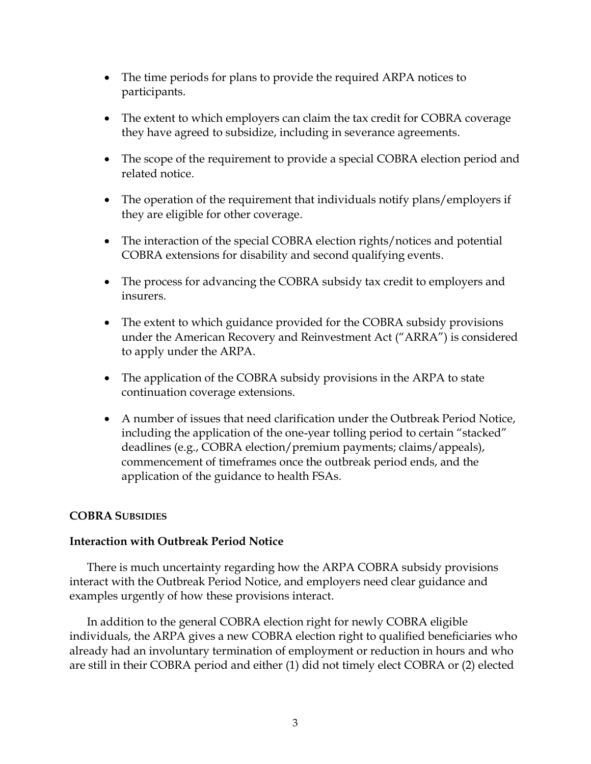- The time periods for plans to provide the required ARPA notices to participants.
- The extent to which employers can claim the tax credit for COBRA coverage they have agreed to subsidize, including in severance agreements.
- The scope of the requirement to provide a special COBRA election period and related notice.
- The operation of the requirement that individuals notify plans/employers if they are eligible for other coverage.
- The interaction of the special COBRA election rights/notices and potential COBRA extensions for disability and second qualifying events.
- The process for advancing the COBRA subsidy tax credit to employers and insurers.
- The extent to which guidance provided for the COBRA subsidy provisions under the American Recovery and Reinvestment Act ("ARRA") is considered to apply under the ARPA.
- The application of the COBRA subsidy provisions in the ARPA to state continuation coverage extensions.
- A number of issues that need clarification under the Outbreak Period Notice, including the application of the one-year tolling period to certain "stacked" deadlines (e.g., COBRA election/premium payments; claims/appeals), commencement of timeframes once the outbreak period ends, and the application of the guidance to health FSAs.

# **COBRA SUBSIDIES**

# **Interaction with Outbreak Period Notice**

There is much uncertainty regarding how the ARPA COBRA subsidy provisions interact with the Outbreak Period Notice, and employers need clear guidance and examples urgently of how these provisions interact.

In addition to the general COBRA election right for newly COBRA eligible individuals, the ARPA gives a new COBRA election right to qualified beneficiaries who already had an involuntary termination of employment or reduction in hours and who are still in their COBRA period and either (1) did not timely elect COBRA or (2) elected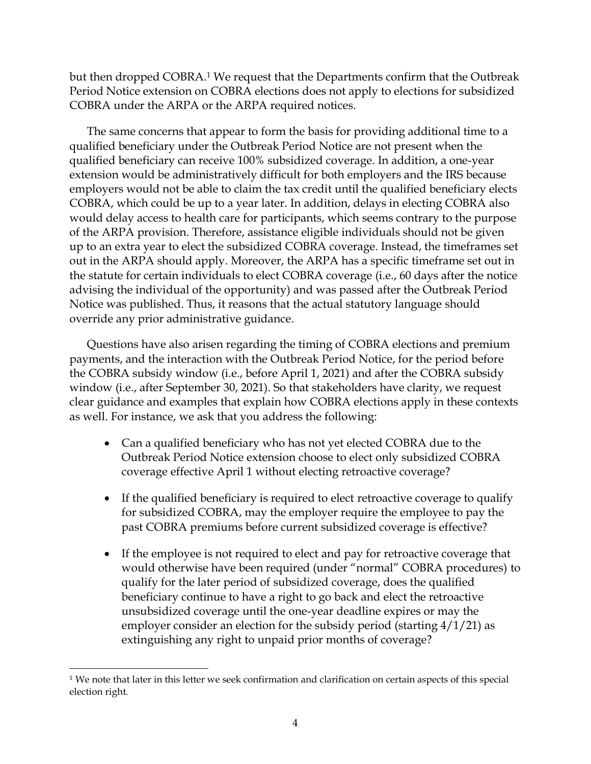but then dropped COBRA.<sup>1</sup> We request that the Departments confirm that the Outbreak Period Notice extension on COBRA elections does not apply to elections for subsidized COBRA under the ARPA or the ARPA required notices.

The same concerns that appear to form the basis for providing additional time to a qualified beneficiary under the Outbreak Period Notice are not present when the qualified beneficiary can receive 100% subsidized coverage. In addition, a one-year extension would be administratively difficult for both employers and the IRS because employers would not be able to claim the tax credit until the qualified beneficiary elects COBRA, which could be up to a year later. In addition, delays in electing COBRA also would delay access to health care for participants, which seems contrary to the purpose of the ARPA provision. Therefore, assistance eligible individuals should not be given up to an extra year to elect the subsidized COBRA coverage. Instead, the timeframes set out in the ARPA should apply. Moreover, the ARPA has a specific timeframe set out in the statute for certain individuals to elect COBRA coverage (i.e., 60 days after the notice advising the individual of the opportunity) and was passed after the Outbreak Period Notice was published. Thus, it reasons that the actual statutory language should override any prior administrative guidance.

Questions have also arisen regarding the timing of COBRA elections and premium payments, and the interaction with the Outbreak Period Notice, for the period before the COBRA subsidy window (i.e., before April 1, 2021) and after the COBRA subsidy window (i.e., after September 30, 2021). So that stakeholders have clarity, we request clear guidance and examples that explain how COBRA elections apply in these contexts as well. For instance, we ask that you address the following:

- Can a qualified beneficiary who has not yet elected COBRA due to the Outbreak Period Notice extension choose to elect only subsidized COBRA coverage effective April 1 without electing retroactive coverage?
- If the qualified beneficiary is required to elect retroactive coverage to qualify for subsidized COBRA, may the employer require the employee to pay the past COBRA premiums before current subsidized coverage is effective?
- If the employee is not required to elect and pay for retroactive coverage that would otherwise have been required (under "normal" COBRA procedures) to qualify for the later period of subsidized coverage, does the qualified beneficiary continue to have a right to go back and elect the retroactive unsubsidized coverage until the one-year deadline expires or may the employer consider an election for the subsidy period (starting 4/1/21) as extinguishing any right to unpaid prior months of coverage?

<sup>1</sup> We note that later in this letter we seek confirmation and clarification on certain aspects of this special election right.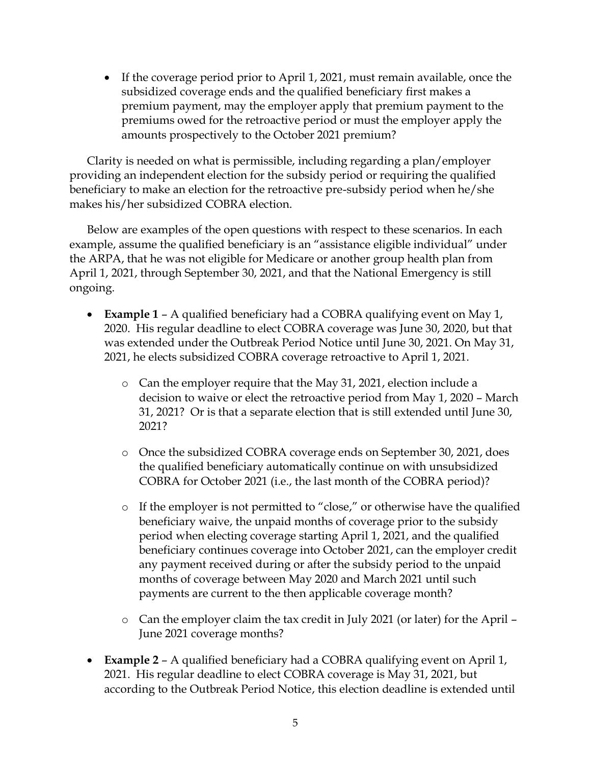• If the coverage period prior to April 1, 2021, must remain available, once the subsidized coverage ends and the qualified beneficiary first makes a premium payment, may the employer apply that premium payment to the premiums owed for the retroactive period or must the employer apply the amounts prospectively to the October 2021 premium?

Clarity is needed on what is permissible, including regarding a plan/employer providing an independent election for the subsidy period or requiring the qualified beneficiary to make an election for the retroactive pre-subsidy period when he/she makes his/her subsidized COBRA election.

Below are examples of the open questions with respect to these scenarios. In each example, assume the qualified beneficiary is an "assistance eligible individual" under the ARPA, that he was not eligible for Medicare or another group health plan from April 1, 2021, through September 30, 2021, and that the National Emergency is still ongoing.

- **Example 1** A qualified beneficiary had a COBRA qualifying event on May 1, 2020. His regular deadline to elect COBRA coverage was June 30, 2020, but that was extended under the Outbreak Period Notice until June 30, 2021. On May 31, 2021, he elects subsidized COBRA coverage retroactive to April 1, 2021.
	- o Can the employer require that the May 31, 2021, election include a decision to waive or elect the retroactive period from May 1, 2020 – March 31, 2021? Or is that a separate election that is still extended until June 30, 2021?
	- o Once the subsidized COBRA coverage ends on September 30, 2021, does the qualified beneficiary automatically continue on with unsubsidized COBRA for October 2021 (i.e., the last month of the COBRA period)?
	- o If the employer is not permitted to "close," or otherwise have the qualified beneficiary waive, the unpaid months of coverage prior to the subsidy period when electing coverage starting April 1, 2021, and the qualified beneficiary continues coverage into October 2021, can the employer credit any payment received during or after the subsidy period to the unpaid months of coverage between May 2020 and March 2021 until such payments are current to the then applicable coverage month?
	- o Can the employer claim the tax credit in July 2021 (or later) for the April June 2021 coverage months?
- **Example 2** A qualified beneficiary had a COBRA qualifying event on April 1, 2021. His regular deadline to elect COBRA coverage is May 31, 2021, but according to the Outbreak Period Notice, this election deadline is extended until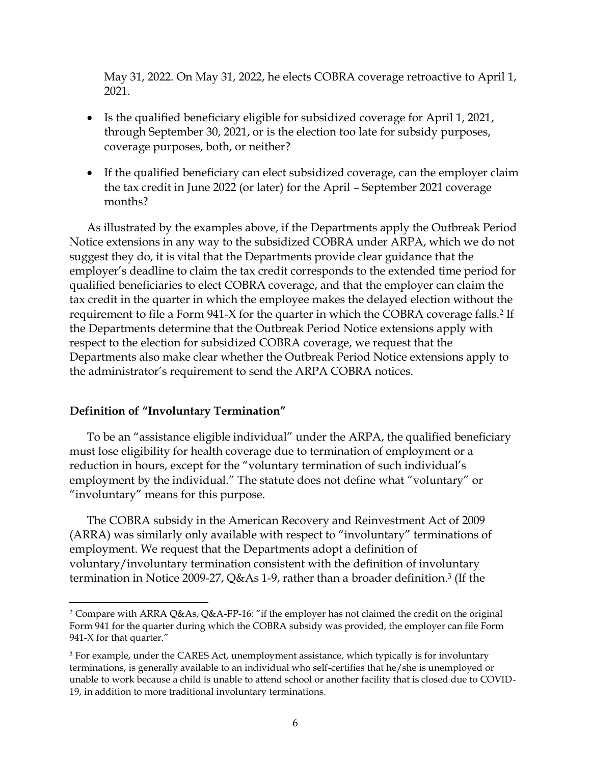May 31, 2022. On May 31, 2022, he elects COBRA coverage retroactive to April 1, 2021.

- Is the qualified beneficiary eligible for subsidized coverage for April 1, 2021, through September 30, 2021, or is the election too late for subsidy purposes, coverage purposes, both, or neither?
- If the qualified beneficiary can elect subsidized coverage, can the employer claim the tax credit in June 2022 (or later) for the April – September 2021 coverage months?

As illustrated by the examples above, if the Departments apply the Outbreak Period Notice extensions in any way to the subsidized COBRA under ARPA, which we do not suggest they do, it is vital that the Departments provide clear guidance that the employer's deadline to claim the tax credit corresponds to the extended time period for qualified beneficiaries to elect COBRA coverage, and that the employer can claim the tax credit in the quarter in which the employee makes the delayed election without the requirement to file a Form 941-X for the quarter in which the COBRA coverage falls.<sup>2</sup> If the Departments determine that the Outbreak Period Notice extensions apply with respect to the election for subsidized COBRA coverage, we request that the Departments also make clear whether the Outbreak Period Notice extensions apply to the administrator's requirement to send the ARPA COBRA notices.

## **Definition of "Involuntary Termination"**

To be an "assistance eligible individual" under the ARPA, the qualified beneficiary must lose eligibility for health coverage due to termination of employment or a reduction in hours, except for the "voluntary termination of such individual's employment by the individual." The statute does not define what "voluntary" or "involuntary" means for this purpose.

The COBRA subsidy in the American Recovery and Reinvestment Act of 2009 (ARRA) was similarly only available with respect to "involuntary" terminations of employment. We request that the Departments adopt a definition of voluntary/involuntary termination consistent with the definition of involuntary termination in Notice 2009-27, Q&As 1-9, rather than a broader definition. <sup>3</sup> (If the

<sup>2</sup> Compare with ARRA Q&As, Q&A-FP-16: "if the employer has not claimed the credit on the original Form 941 for the quarter during which the COBRA subsidy was provided, the employer can file Form 941-X for that quarter."

<sup>&</sup>lt;sup>3</sup> For example, under the CARES Act, unemployment assistance, which typically is for involuntary terminations, is generally available to an individual who self-certifies that he/she is unemployed or unable to work because a child is unable to attend school or another facility that is closed due to COVID-19, in addition to more traditional involuntary terminations.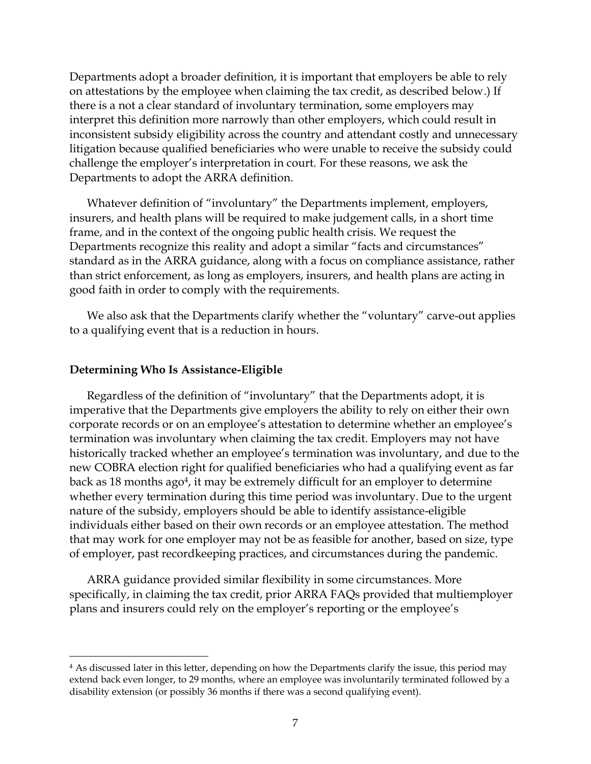Departments adopt a broader definition, it is important that employers be able to rely on attestations by the employee when claiming the tax credit, as described below.) If there is a not a clear standard of involuntary termination, some employers may interpret this definition more narrowly than other employers, which could result in inconsistent subsidy eligibility across the country and attendant costly and unnecessary litigation because qualified beneficiaries who were unable to receive the subsidy could challenge the employer's interpretation in court. For these reasons, we ask the Departments to adopt the ARRA definition.

Whatever definition of "involuntary" the Departments implement, employers, insurers, and health plans will be required to make judgement calls, in a short time frame, and in the context of the ongoing public health crisis. We request the Departments recognize this reality and adopt a similar "facts and circumstances" standard as in the ARRA guidance, along with a focus on compliance assistance, rather than strict enforcement, as long as employers, insurers, and health plans are acting in good faith in order to comply with the requirements.

We also ask that the Departments clarify whether the "voluntary" carve-out applies to a qualifying event that is a reduction in hours.

## **Determining Who Is Assistance-Eligible**

Regardless of the definition of "involuntary" that the Departments adopt, it is imperative that the Departments give employers the ability to rely on either their own corporate records or on an employee's attestation to determine whether an employee's termination was involuntary when claiming the tax credit. Employers may not have historically tracked whether an employee's termination was involuntary, and due to the new COBRA election right for qualified beneficiaries who had a qualifying event as far back as 18 months ago<sup>4</sup>, it may be extremely difficult for an employer to determine whether every termination during this time period was involuntary. Due to the urgent nature of the subsidy, employers should be able to identify assistance-eligible individuals either based on their own records or an employee attestation. The method that may work for one employer may not be as feasible for another, based on size, type of employer, past recordkeeping practices, and circumstances during the pandemic.

ARRA guidance provided similar flexibility in some circumstances. More specifically, in claiming the tax credit, prior ARRA FAQs provided that multiemployer plans and insurers could rely on the employer's reporting or the employee's

<sup>&</sup>lt;sup>4</sup> As discussed later in this letter, depending on how the Departments clarify the issue, this period may extend back even longer, to 29 months, where an employee was involuntarily terminated followed by a disability extension (or possibly 36 months if there was a second qualifying event).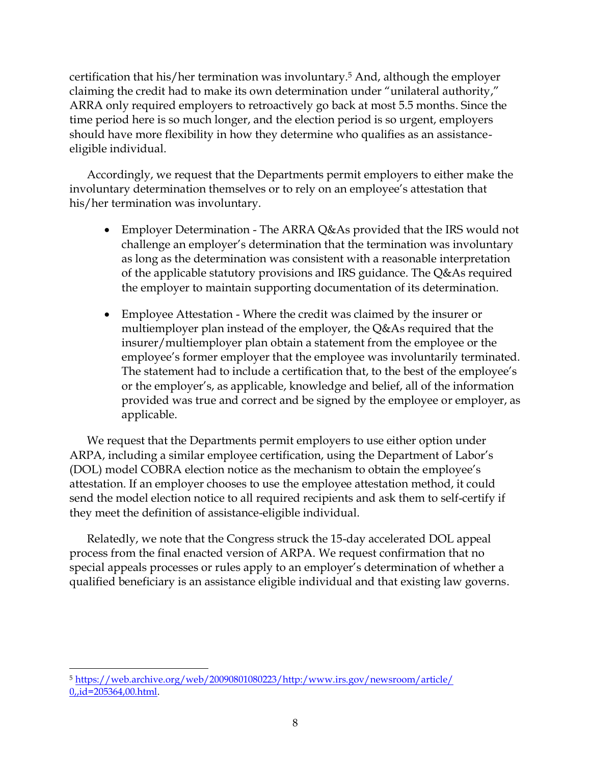certification that his/her termination was involuntary.<sup>5</sup> And, although the employer claiming the credit had to make its own determination under "unilateral authority," ARRA only required employers to retroactively go back at most 5.5 months. Since the time period here is so much longer, and the election period is so urgent, employers should have more flexibility in how they determine who qualifies as an assistanceeligible individual.

Accordingly, we request that the Departments permit employers to either make the involuntary determination themselves or to rely on an employee's attestation that his/her termination was involuntary.

- Employer Determination The ARRA Q&As provided that the IRS would not challenge an employer's determination that the termination was involuntary as long as the determination was consistent with a reasonable interpretation of the applicable statutory provisions and IRS guidance. The Q&As required the employer to maintain supporting documentation of its determination.
- Employee Attestation Where the credit was claimed by the insurer or multiemployer plan instead of the employer, the Q&As required that the insurer/multiemployer plan obtain a statement from the employee or the employee's former employer that the employee was involuntarily terminated. The statement had to include a certification that, to the best of the employee's or the employer's, as applicable, knowledge and belief, all of the information provided was true and correct and be signed by the employee or employer, as applicable.

We request that the Departments permit employers to use either option under ARPA, including a similar employee certification, using the Department of Labor's (DOL) model COBRA election notice as the mechanism to obtain the employee's attestation. If an employer chooses to use the employee attestation method, it could send the model election notice to all required recipients and ask them to self-certify if they meet the definition of assistance-eligible individual.

Relatedly, we note that the Congress struck the 15-day accelerated DOL appeal process from the final enacted version of ARPA. We request confirmation that no special appeals processes or rules apply to an employer's determination of whether a qualified beneficiary is an assistance eligible individual and that existing law governs.

<sup>5</sup> [https://web.archive.org/web/20090801080223/http:/www.irs.gov/newsroom/article/](https://web.archive.org/web/20090801080223/http:/www.irs.gov/newsroom/article/%200,,id=205364,00.html) [0,,id=205364,00.html.](https://web.archive.org/web/20090801080223/http:/www.irs.gov/newsroom/article/%200,,id=205364,00.html)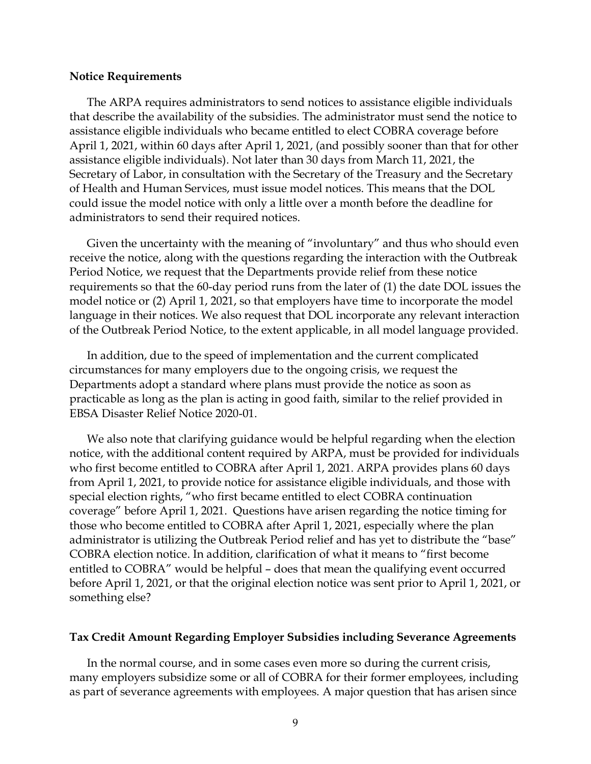#### **Notice Requirements**

The ARPA requires administrators to send notices to assistance eligible individuals that describe the availability of the subsidies. The administrator must send the notice to assistance eligible individuals who became entitled to elect COBRA coverage before April 1, 2021, within 60 days after April 1, 2021, (and possibly sooner than that for other assistance eligible individuals). Not later than 30 days from March 11, 2021, the Secretary of Labor, in consultation with the Secretary of the Treasury and the Secretary of Health and Human Services, must issue model notices. This means that the DOL could issue the model notice with only a little over a month before the deadline for administrators to send their required notices.

Given the uncertainty with the meaning of "involuntary" and thus who should even receive the notice, along with the questions regarding the interaction with the Outbreak Period Notice, we request that the Departments provide relief from these notice requirements so that the 60-day period runs from the later of (1) the date DOL issues the model notice or (2) April 1, 2021, so that employers have time to incorporate the model language in their notices. We also request that DOL incorporate any relevant interaction of the Outbreak Period Notice, to the extent applicable, in all model language provided.

In addition, due to the speed of implementation and the current complicated circumstances for many employers due to the ongoing crisis, we request the Departments adopt a standard where plans must provide the notice as soon as practicable as long as the plan is acting in good faith, similar to the relief provided in EBSA Disaster Relief Notice 2020-01.

We also note that clarifying guidance would be helpful regarding when the election notice, with the additional content required by ARPA, must be provided for individuals who first become entitled to COBRA after April 1, 2021. ARPA provides plans 60 days from April 1, 2021, to provide notice for assistance eligible individuals, and those with special election rights, "who first became entitled to elect COBRA continuation coverage" before April 1, 2021. Questions have arisen regarding the notice timing for those who become entitled to COBRA after April 1, 2021, especially where the plan administrator is utilizing the Outbreak Period relief and has yet to distribute the "base" COBRA election notice. In addition, clarification of what it means to "first become entitled to COBRA" would be helpful – does that mean the qualifying event occurred before April 1, 2021, or that the original election notice was sent prior to April 1, 2021, or something else?

## **Tax Credit Amount Regarding Employer Subsidies including Severance Agreements**

In the normal course, and in some cases even more so during the current crisis, many employers subsidize some or all of COBRA for their former employees, including as part of severance agreements with employees. A major question that has arisen since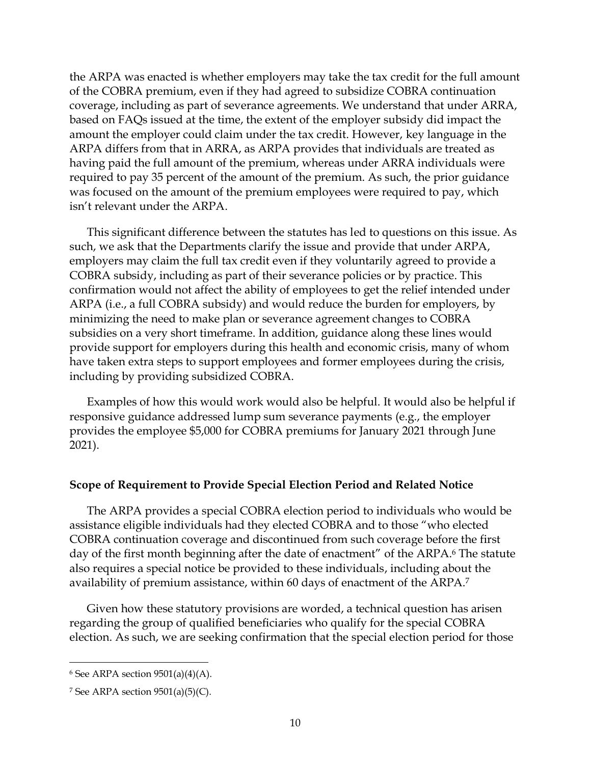the ARPA was enacted is whether employers may take the tax credit for the full amount of the COBRA premium, even if they had agreed to subsidize COBRA continuation coverage, including as part of severance agreements. We understand that under ARRA, based on FAQs issued at the time, the extent of the employer subsidy did impact the amount the employer could claim under the tax credit. However, key language in the ARPA differs from that in ARRA, as ARPA provides that individuals are treated as having paid the full amount of the premium, whereas under ARRA individuals were required to pay 35 percent of the amount of the premium. As such, the prior guidance was focused on the amount of the premium employees were required to pay, which isn't relevant under the ARPA.

This significant difference between the statutes has led to questions on this issue. As such, we ask that the Departments clarify the issue and provide that under ARPA, employers may claim the full tax credit even if they voluntarily agreed to provide a COBRA subsidy, including as part of their severance policies or by practice. This confirmation would not affect the ability of employees to get the relief intended under ARPA (i.e., a full COBRA subsidy) and would reduce the burden for employers, by minimizing the need to make plan or severance agreement changes to COBRA subsidies on a very short timeframe. In addition, guidance along these lines would provide support for employers during this health and economic crisis, many of whom have taken extra steps to support employees and former employees during the crisis, including by providing subsidized COBRA.

Examples of how this would work would also be helpful. It would also be helpful if responsive guidance addressed lump sum severance payments (e.g., the employer provides the employee \$5,000 for COBRA premiums for January 2021 through June 2021).

## **Scope of Requirement to Provide Special Election Period and Related Notice**

The ARPA provides a special COBRA election period to individuals who would be assistance eligible individuals had they elected COBRA and to those "who elected COBRA continuation coverage and discontinued from such coverage before the first day of the first month beginning after the date of enactment" of the ARPA.<sup>6</sup> The statute also requires a special notice be provided to these individuals, including about the availability of premium assistance, within 60 days of enactment of the ARPA.<sup>7</sup>

Given how these statutory provisions are worded, a technical question has arisen regarding the group of qualified beneficiaries who qualify for the special COBRA election. As such, we are seeking confirmation that the special election period for those

 $6$  See ARPA section 9501(a)(4)(A).

<sup>&</sup>lt;sup>7</sup> See ARPA section  $9501(a)(5)(C)$ .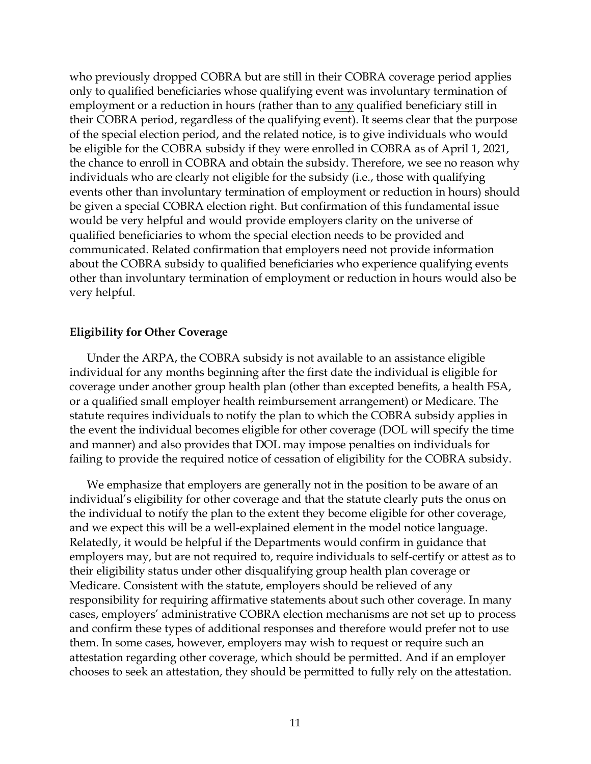who previously dropped COBRA but are still in their COBRA coverage period applies only to qualified beneficiaries whose qualifying event was involuntary termination of employment or a reduction in hours (rather than to any qualified beneficiary still in their COBRA period, regardless of the qualifying event). It seems clear that the purpose of the special election period, and the related notice, is to give individuals who would be eligible for the COBRA subsidy if they were enrolled in COBRA as of April 1, 2021, the chance to enroll in COBRA and obtain the subsidy. Therefore, we see no reason why individuals who are clearly not eligible for the subsidy (i.e., those with qualifying events other than involuntary termination of employment or reduction in hours) should be given a special COBRA election right. But confirmation of this fundamental issue would be very helpful and would provide employers clarity on the universe of qualified beneficiaries to whom the special election needs to be provided and communicated. Related confirmation that employers need not provide information about the COBRA subsidy to qualified beneficiaries who experience qualifying events other than involuntary termination of employment or reduction in hours would also be very helpful.

## **Eligibility for Other Coverage**

Under the ARPA, the COBRA subsidy is not available to an assistance eligible individual for any months beginning after the first date the individual is eligible for coverage under another group health plan (other than excepted benefits, a health FSA, or a qualified small employer health reimbursement arrangement) or Medicare. The statute requires individuals to notify the plan to which the COBRA subsidy applies in the event the individual becomes eligible for other coverage (DOL will specify the time and manner) and also provides that DOL may impose penalties on individuals for failing to provide the required notice of cessation of eligibility for the COBRA subsidy.

We emphasize that employers are generally not in the position to be aware of an individual's eligibility for other coverage and that the statute clearly puts the onus on the individual to notify the plan to the extent they become eligible for other coverage, and we expect this will be a well-explained element in the model notice language. Relatedly, it would be helpful if the Departments would confirm in guidance that employers may, but are not required to, require individuals to self-certify or attest as to their eligibility status under other disqualifying group health plan coverage or Medicare. Consistent with the statute, employers should be relieved of any responsibility for requiring affirmative statements about such other coverage. In many cases, employers' administrative COBRA election mechanisms are not set up to process and confirm these types of additional responses and therefore would prefer not to use them. In some cases, however, employers may wish to request or require such an attestation regarding other coverage, which should be permitted. And if an employer chooses to seek an attestation, they should be permitted to fully rely on the attestation.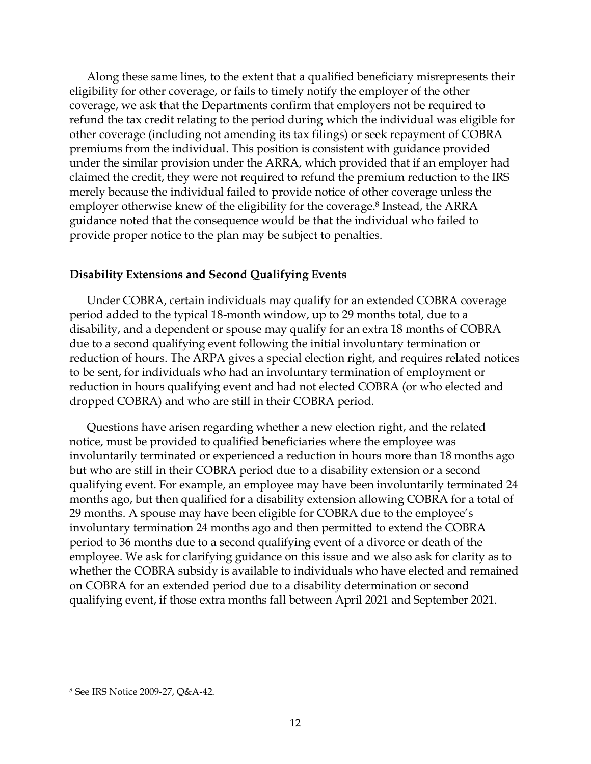Along these same lines, to the extent that a qualified beneficiary misrepresents their eligibility for other coverage, or fails to timely notify the employer of the other coverage, we ask that the Departments confirm that employers not be required to refund the tax credit relating to the period during which the individual was eligible for other coverage (including not amending its tax filings) or seek repayment of COBRA premiums from the individual. This position is consistent with guidance provided under the similar provision under the ARRA, which provided that if an employer had claimed the credit, they were not required to refund the premium reduction to the IRS merely because the individual failed to provide notice of other coverage unless the employer otherwise knew of the eligibility for the coverage.<sup>8</sup> Instead, the ARRA guidance noted that the consequence would be that the individual who failed to provide proper notice to the plan may be subject to penalties.

## **Disability Extensions and Second Qualifying Events**

Under COBRA, certain individuals may qualify for an extended COBRA coverage period added to the typical 18-month window, up to 29 months total, due to a disability, and a dependent or spouse may qualify for an extra 18 months of COBRA due to a second qualifying event following the initial involuntary termination or reduction of hours. The ARPA gives a special election right, and requires related notices to be sent, for individuals who had an involuntary termination of employment or reduction in hours qualifying event and had not elected COBRA (or who elected and dropped COBRA) and who are still in their COBRA period.

Questions have arisen regarding whether a new election right, and the related notice, must be provided to qualified beneficiaries where the employee was involuntarily terminated or experienced a reduction in hours more than 18 months ago but who are still in their COBRA period due to a disability extension or a second qualifying event. For example, an employee may have been involuntarily terminated 24 months ago, but then qualified for a disability extension allowing COBRA for a total of 29 months. A spouse may have been eligible for COBRA due to the employee's involuntary termination 24 months ago and then permitted to extend the COBRA period to 36 months due to a second qualifying event of a divorce or death of the employee. We ask for clarifying guidance on this issue and we also ask for clarity as to whether the COBRA subsidy is available to individuals who have elected and remained on COBRA for an extended period due to a disability determination or second qualifying event, if those extra months fall between April 2021 and September 2021.

<sup>8</sup> See IRS Notice 2009-27, Q&A-42.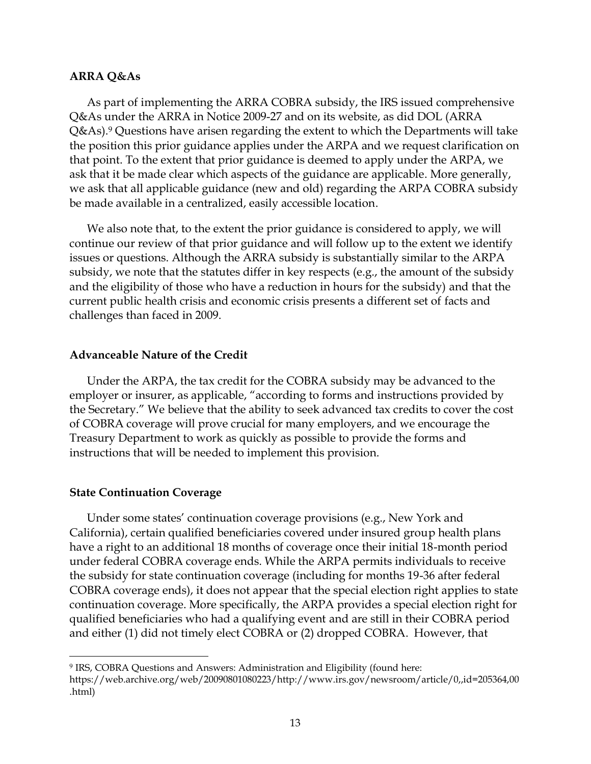#### **ARRA Q&As**

As part of implementing the ARRA COBRA subsidy, the IRS issued comprehensive Q&As under the ARRA in Notice 2009-27 and on its website, as did DOL (ARRA  $Q&As$ ).<sup>9</sup> Questions have arisen regarding the extent to which the Departments will take the position this prior guidance applies under the ARPA and we request clarification on that point. To the extent that prior guidance is deemed to apply under the ARPA, we ask that it be made clear which aspects of the guidance are applicable. More generally, we ask that all applicable guidance (new and old) regarding the ARPA COBRA subsidy be made available in a centralized, easily accessible location.

We also note that, to the extent the prior guidance is considered to apply, we will continue our review of that prior guidance and will follow up to the extent we identify issues or questions. Although the ARRA subsidy is substantially similar to the ARPA subsidy, we note that the statutes differ in key respects (e.g., the amount of the subsidy and the eligibility of those who have a reduction in hours for the subsidy) and that the current public health crisis and economic crisis presents a different set of facts and challenges than faced in 2009.

## **Advanceable Nature of the Credit**

Under the ARPA, the tax credit for the COBRA subsidy may be advanced to the employer or insurer, as applicable, "according to forms and instructions provided by the Secretary." We believe that the ability to seek advanced tax credits to cover the cost of COBRA coverage will prove crucial for many employers, and we encourage the Treasury Department to work as quickly as possible to provide the forms and instructions that will be needed to implement this provision.

## **State Continuation Coverage**

Under some states' continuation coverage provisions (e.g., New York and California), certain qualified beneficiaries covered under insured group health plans have a right to an additional 18 months of coverage once their initial 18-month period under federal COBRA coverage ends. While the ARPA permits individuals to receive the subsidy for state continuation coverage (including for months 19-36 after federal COBRA coverage ends), it does not appear that the special election right applies to state continuation coverage. More specifically, the ARPA provides a special election right for qualified beneficiaries who had a qualifying event and are still in their COBRA period and either (1) did not timely elect COBRA or (2) dropped COBRA. However, that

<sup>9</sup> IRS, COBRA Questions and Answers: Administration and Eligibility (found here: https://web.archive.org/web/20090801080223/http://www.irs.gov/newsroom/article/0,,id=205364,00 .html)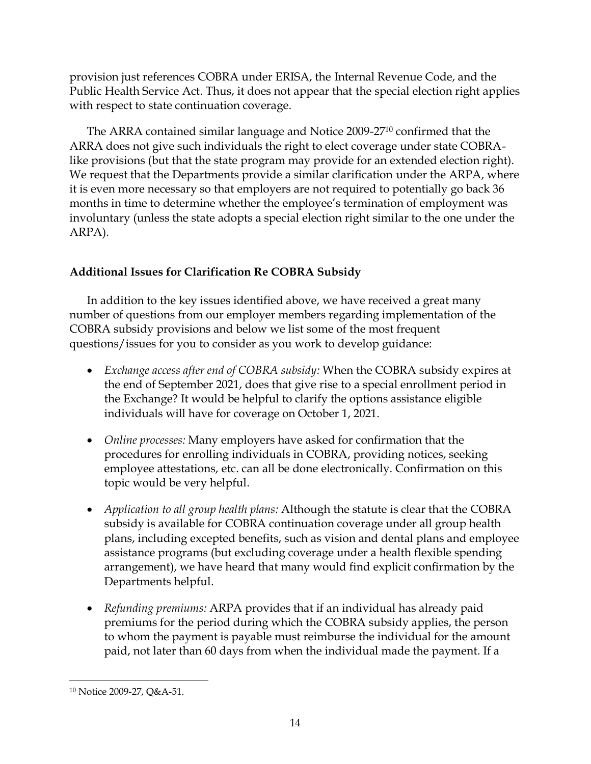provision just references COBRA under ERISA, the Internal Revenue Code, and the Public Health Service Act. Thus, it does not appear that the special election right applies with respect to state continuation coverage.

The ARRA contained similar language and Notice 2009-27<sup>10</sup> confirmed that the ARRA does not give such individuals the right to elect coverage under state COBRAlike provisions (but that the state program may provide for an extended election right). We request that the Departments provide a similar clarification under the ARPA, where it is even more necessary so that employers are not required to potentially go back 36 months in time to determine whether the employee's termination of employment was involuntary (unless the state adopts a special election right similar to the one under the ARPA).

# **Additional Issues for Clarification Re COBRA Subsidy**

In addition to the key issues identified above, we have received a great many number of questions from our employer members regarding implementation of the COBRA subsidy provisions and below we list some of the most frequent questions/issues for you to consider as you work to develop guidance:

- *Exchange access after end of COBRA subsidy:* When the COBRA subsidy expires at the end of September 2021, does that give rise to a special enrollment period in the Exchange? It would be helpful to clarify the options assistance eligible individuals will have for coverage on October 1, 2021.
- *Online processes:* Many employers have asked for confirmation that the procedures for enrolling individuals in COBRA, providing notices, seeking employee attestations, etc. can all be done electronically. Confirmation on this topic would be very helpful.
- *Application to all group health plans:* Although the statute is clear that the COBRA subsidy is available for COBRA continuation coverage under all group health plans, including excepted benefits, such as vision and dental plans and employee assistance programs (but excluding coverage under a health flexible spending arrangement), we have heard that many would find explicit confirmation by the Departments helpful.
- *Refunding premiums:* ARPA provides that if an individual has already paid premiums for the period during which the COBRA subsidy applies, the person to whom the payment is payable must reimburse the individual for the amount paid, not later than 60 days from when the individual made the payment. If a

<sup>10</sup> Notice 2009-27, Q&A-51.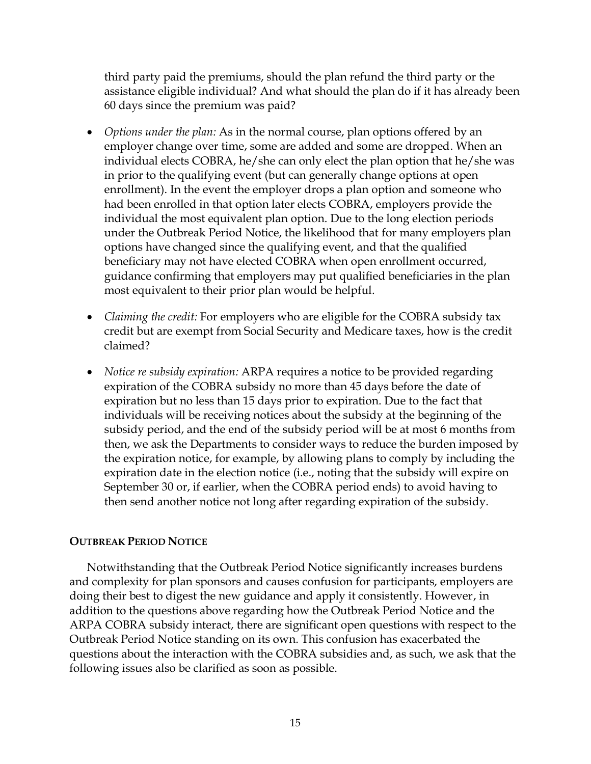third party paid the premiums, should the plan refund the third party or the assistance eligible individual? And what should the plan do if it has already been 60 days since the premium was paid?

- *Options under the plan:* As in the normal course, plan options offered by an employer change over time, some are added and some are dropped. When an individual elects COBRA, he/she can only elect the plan option that he/she was in prior to the qualifying event (but can generally change options at open enrollment). In the event the employer drops a plan option and someone who had been enrolled in that option later elects COBRA, employers provide the individual the most equivalent plan option. Due to the long election periods under the Outbreak Period Notice, the likelihood that for many employers plan options have changed since the qualifying event, and that the qualified beneficiary may not have elected COBRA when open enrollment occurred, guidance confirming that employers may put qualified beneficiaries in the plan most equivalent to their prior plan would be helpful.
- *Claiming the credit:* For employers who are eligible for the COBRA subsidy tax credit but are exempt from Social Security and Medicare taxes, how is the credit claimed?
- *Notice re subsidy expiration:* ARPA requires a notice to be provided regarding expiration of the COBRA subsidy no more than 45 days before the date of expiration but no less than 15 days prior to expiration. Due to the fact that individuals will be receiving notices about the subsidy at the beginning of the subsidy period, and the end of the subsidy period will be at most 6 months from then, we ask the Departments to consider ways to reduce the burden imposed by the expiration notice, for example, by allowing plans to comply by including the expiration date in the election notice (i.e., noting that the subsidy will expire on September 30 or, if earlier, when the COBRA period ends) to avoid having to then send another notice not long after regarding expiration of the subsidy.

# **OUTBREAK PERIOD NOTICE**

Notwithstanding that the Outbreak Period Notice significantly increases burdens and complexity for plan sponsors and causes confusion for participants, employers are doing their best to digest the new guidance and apply it consistently. However, in addition to the questions above regarding how the Outbreak Period Notice and the ARPA COBRA subsidy interact, there are significant open questions with respect to the Outbreak Period Notice standing on its own. This confusion has exacerbated the questions about the interaction with the COBRA subsidies and, as such, we ask that the following issues also be clarified as soon as possible.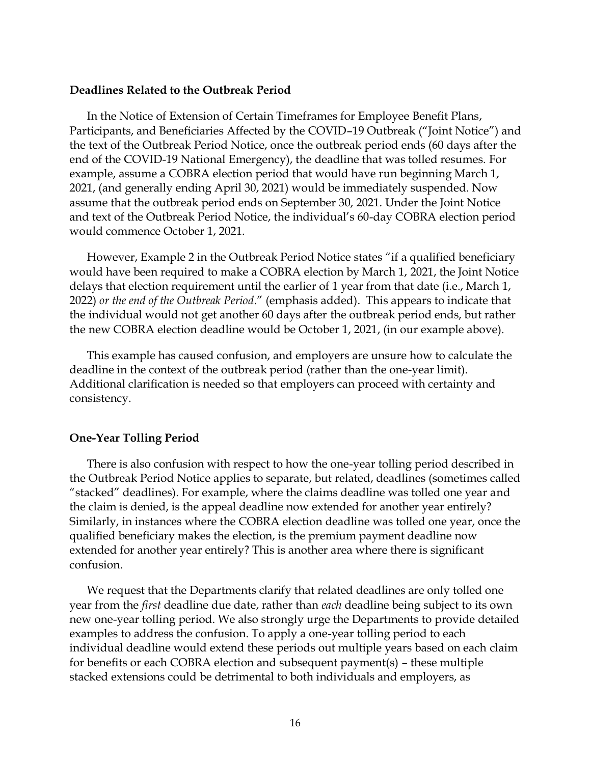## **Deadlines Related to the Outbreak Period**

In the Notice of Extension of Certain Timeframes for Employee Benefit Plans, Participants, and Beneficiaries Affected by the COVID–19 Outbreak ("Joint Notice") and the text of the Outbreak Period Notice, once the outbreak period ends (60 days after the end of the COVID-19 National Emergency), the deadline that was tolled resumes. For example, assume a COBRA election period that would have run beginning March 1, 2021, (and generally ending April 30, 2021) would be immediately suspended. Now assume that the outbreak period ends on September 30, 2021. Under the Joint Notice and text of the Outbreak Period Notice, the individual's 60-day COBRA election period would commence October 1, 2021.

However, Example 2 in the Outbreak Period Notice states "if a qualified beneficiary would have been required to make a COBRA election by March 1, 2021, the Joint Notice delays that election requirement until the earlier of 1 year from that date (i.e., March 1, 2022) *or the end of the Outbreak Period*." (emphasis added). This appears to indicate that the individual would not get another 60 days after the outbreak period ends, but rather the new COBRA election deadline would be October 1, 2021, (in our example above).

This example has caused confusion, and employers are unsure how to calculate the deadline in the context of the outbreak period (rather than the one-year limit). Additional clarification is needed so that employers can proceed with certainty and consistency.

## **One-Year Tolling Period**

There is also confusion with respect to how the one-year tolling period described in the Outbreak Period Notice applies to separate, but related, deadlines (sometimes called "stacked" deadlines). For example, where the claims deadline was tolled one year and the claim is denied, is the appeal deadline now extended for another year entirely? Similarly, in instances where the COBRA election deadline was tolled one year, once the qualified beneficiary makes the election, is the premium payment deadline now extended for another year entirely? This is another area where there is significant confusion.

We request that the Departments clarify that related deadlines are only tolled one year from the *first* deadline due date, rather than *each* deadline being subject to its own new one-year tolling period. We also strongly urge the Departments to provide detailed examples to address the confusion. To apply a one-year tolling period to each individual deadline would extend these periods out multiple years based on each claim for benefits or each COBRA election and subsequent payment(s) – these multiple stacked extensions could be detrimental to both individuals and employers, as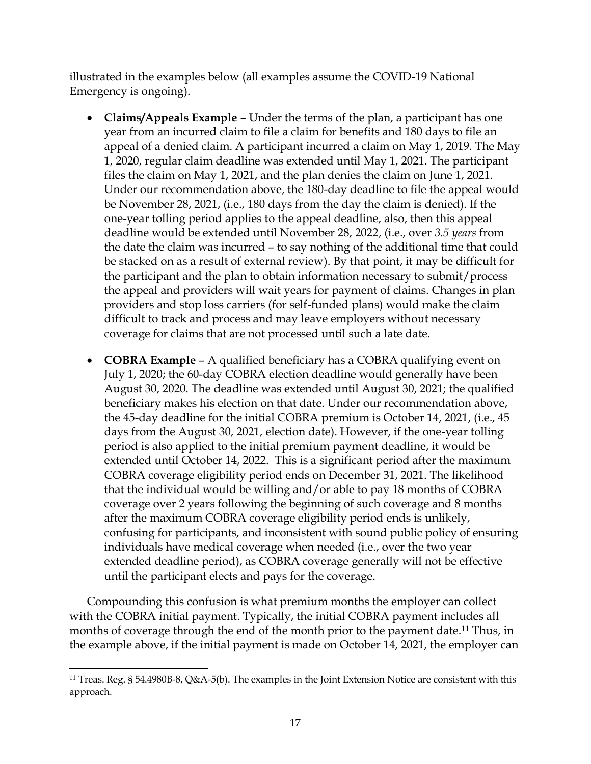illustrated in the examples below (all examples assume the COVID-19 National Emergency is ongoing).

- **Claims/Appeals Example** Under the terms of the plan, a participant has one year from an incurred claim to file a claim for benefits and 180 days to file an appeal of a denied claim. A participant incurred a claim on May 1, 2019. The May 1, 2020, regular claim deadline was extended until May 1, 2021. The participant files the claim on May 1, 2021, and the plan denies the claim on June 1, 2021. Under our recommendation above, the 180-day deadline to file the appeal would be November 28, 2021, (i.e., 180 days from the day the claim is denied). If the one-year tolling period applies to the appeal deadline, also, then this appeal deadline would be extended until November 28, 2022, (i.e., over *3.5 years* from the date the claim was incurred – to say nothing of the additional time that could be stacked on as a result of external review). By that point, it may be difficult for the participant and the plan to obtain information necessary to submit/process the appeal and providers will wait years for payment of claims. Changes in plan providers and stop loss carriers (for self-funded plans) would make the claim difficult to track and process and may leave employers without necessary coverage for claims that are not processed until such a late date.
- **COBRA Example** A qualified beneficiary has a COBRA qualifying event on July 1, 2020; the 60-day COBRA election deadline would generally have been August 30, 2020. The deadline was extended until August 30, 2021; the qualified beneficiary makes his election on that date. Under our recommendation above, the 45-day deadline for the initial COBRA premium is October 14, 2021, (i.e., 45 days from the August 30, 2021, election date). However, if the one-year tolling period is also applied to the initial premium payment deadline, it would be extended until October 14, 2022. This is a significant period after the maximum COBRA coverage eligibility period ends on December 31, 2021. The likelihood that the individual would be willing and/or able to pay 18 months of COBRA coverage over 2 years following the beginning of such coverage and 8 months after the maximum COBRA coverage eligibility period ends is unlikely, confusing for participants, and inconsistent with sound public policy of ensuring individuals have medical coverage when needed (i.e., over the two year extended deadline period), as COBRA coverage generally will not be effective until the participant elects and pays for the coverage.

Compounding this confusion is what premium months the employer can collect with the COBRA initial payment. Typically, the initial COBRA payment includes all months of coverage through the end of the month prior to the payment date.<sup>11</sup> Thus, in the example above, if the initial payment is made on October 14, 2021, the employer can

<sup>11</sup> Treas. Reg. § 54.4980B-8, Q&A-5(b). The examples in the Joint Extension Notice are consistent with this approach.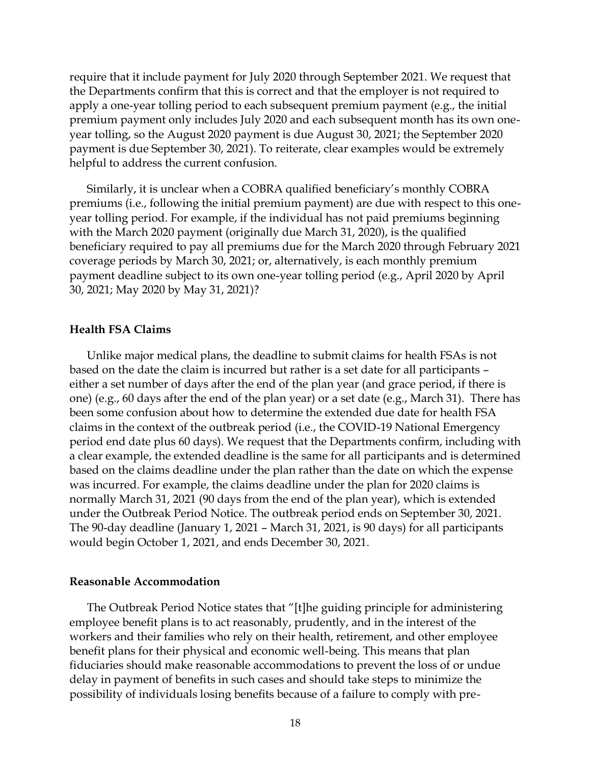require that it include payment for July 2020 through September 2021. We request that the Departments confirm that this is correct and that the employer is not required to apply a one-year tolling period to each subsequent premium payment (e.g., the initial premium payment only includes July 2020 and each subsequent month has its own oneyear tolling, so the August 2020 payment is due August 30, 2021; the September 2020 payment is due September 30, 2021). To reiterate, clear examples would be extremely helpful to address the current confusion.

Similarly, it is unclear when a COBRA qualified beneficiary's monthly COBRA premiums (i.e., following the initial premium payment) are due with respect to this oneyear tolling period. For example, if the individual has not paid premiums beginning with the March 2020 payment (originally due March 31, 2020), is the qualified beneficiary required to pay all premiums due for the March 2020 through February 2021 coverage periods by March 30, 2021; or, alternatively, is each monthly premium payment deadline subject to its own one-year tolling period (e.g., April 2020 by April 30, 2021; May 2020 by May 31, 2021)?

### **Health FSA Claims**

Unlike major medical plans, the deadline to submit claims for health FSAs is not based on the date the claim is incurred but rather is a set date for all participants – either a set number of days after the end of the plan year (and grace period, if there is one) (e.g., 60 days after the end of the plan year) or a set date (e.g., March 31). There has been some confusion about how to determine the extended due date for health FSA claims in the context of the outbreak period (i.e., the COVID-19 National Emergency period end date plus 60 days). We request that the Departments confirm, including with a clear example, the extended deadline is the same for all participants and is determined based on the claims deadline under the plan rather than the date on which the expense was incurred. For example, the claims deadline under the plan for 2020 claims is normally March 31, 2021 (90 days from the end of the plan year), which is extended under the Outbreak Period Notice. The outbreak period ends on September 30, 2021. The 90-day deadline (January 1, 2021 – March 31, 2021, is 90 days) for all participants would begin October 1, 2021, and ends December 30, 2021.

#### **Reasonable Accommodation**

The Outbreak Period Notice states that "[t]he guiding principle for administering employee benefit plans is to act reasonably, prudently, and in the interest of the workers and their families who rely on their health, retirement, and other employee benefit plans for their physical and economic well-being. This means that plan fiduciaries should make reasonable accommodations to prevent the loss of or undue delay in payment of benefits in such cases and should take steps to minimize the possibility of individuals losing benefits because of a failure to comply with pre